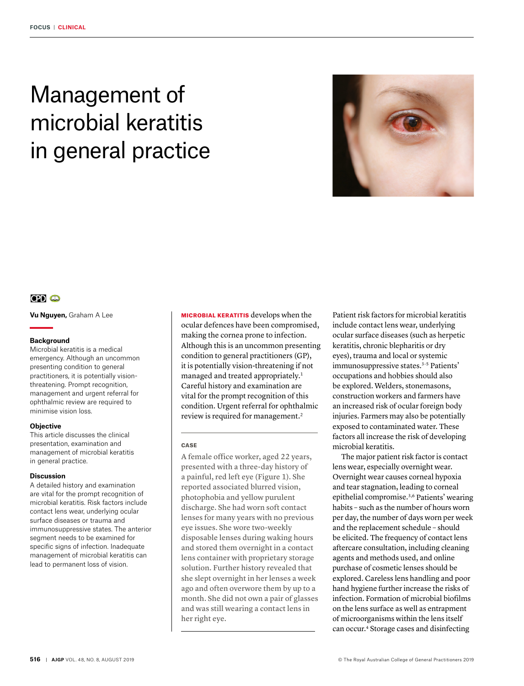# Management of microbial keratitis in general practice



# $CD<sub>4</sub>$

**Vu Nguyen,** Graham A Lee

#### **Background**

Microbial keratitis is a medical emergency. Although an uncommon presenting condition to general practitioners, it is potentially visionthreatening. Prompt recognition, management and urgent referral for ophthalmic review are required to minimise vision loss.

#### **Objective**

This article discusses the clinical presentation, examination and management of microbial keratitis in general practice.

#### **Discussion**

A detailed history and examination are vital for the prompt recognition of microbial keratitis. Risk factors include contact lens wear, underlying ocular surface diseases or trauma and immunosuppressive states. The anterior segment needs to be examined for specific signs of infection. Inadequate management of microbial keratitis can lead to permanent loss of vision.

MICROBIAL KERATITIS develops when the ocular defences have been compromised, making the cornea prone to infection. Although this is an uncommon presenting condition to general practitioners (GP), it is potentially vision-threatening if not managed and treated appropriately.1 Careful history and examination are vital for the prompt recognition of this condition. Urgent referral for ophthalmic review is required for management.<sup>2</sup>

#### **CASE**

A female office worker, aged 22 years, presented with a three-day history of a painful, red left eye (Figure 1). She reported associated blurred vision, photophobia and yellow purulent discharge. She had worn soft contact lenses for many years with no previous eye issues. She wore two-weekly disposable lenses during waking hours and stored them overnight in a contact lens container with proprietary storage solution. Further history revealed that she slept overnight in her lenses a week ago and often overwore them by up to a month. She did not own a pair of glasses and was still wearing a contact lens in her right eye.

Patient risk factors for microbial keratitis include contact lens wear, underlying ocular surface diseases (such as herpetic keratitis, chronic blepharitis or dry eyes), trauma and local or systemic immunosuppressive states.<sup>3-5</sup> Patients' occupations and hobbies should also be explored. Welders, stonemasons, construction workers and farmers have an increased risk of ocular foreign body injuries. Farmers may also be potentially exposed to contaminated water. These factors all increase the risk of developing microbial keratitis.

The major patient risk factor is contact lens wear, especially overnight wear. Overnight wear causes corneal hypoxia and tear stagnation, leading to corneal epithelial compromise.3,6 Patients' wearing habits – such as the number of hours worn per day, the number of days worn per week and the replacement schedule – should be elicited. The frequency of contact lens aftercare consultation, including cleaning agents and methods used, and online purchase of cosmetic lenses should be explored. Careless lens handling and poor hand hygiene further increase the risks of infection. Formation of microbial biofilms on the lens surface as well as entrapment of microorganisms within the lens itself can occur.4 Storage cases and disinfecting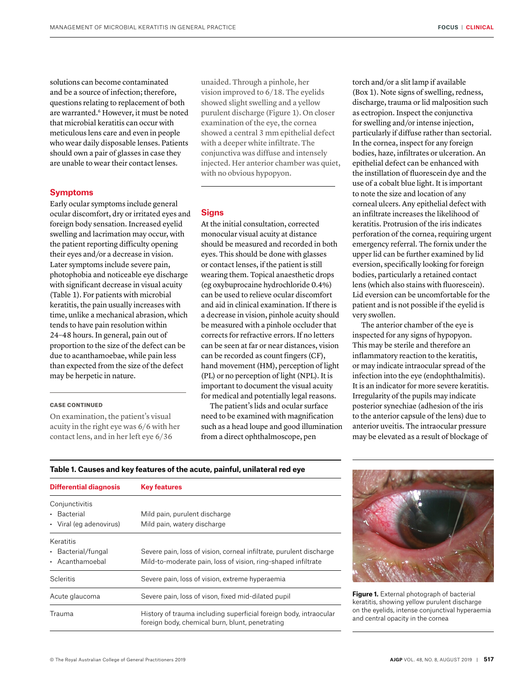solutions can become contaminated and be a source of infection; therefore, questions relating to replacement of both are warranted.<sup>6</sup> However, it must be noted that microbial keratitis can occur with meticulous lens care and even in people who wear daily disposable lenses. Patients should own a pair of glasses in case they are unable to wear their contact lenses.

**Symptoms**

Early ocular symptoms include general ocular discomfort, dry or irritated eyes and foreign body sensation. Increased eyelid swelling and lacrimation may occur, with the patient reporting difficulty opening their eyes and/or a decrease in vision. Later symptoms include severe pain, photophobia and noticeable eye discharge with significant decrease in visual acuity (Table 1). For patients with microbial keratitis, the pain usually increases with time, unlike a mechanical abrasion, which tends to have pain resolution within 24–48 hours. In general, pain out of proportion to the size of the defect can be due to acanthamoebae, while pain less than expected from the size of the defect may be herpetic in nature.

#### CASE CONTINUED

On examination, the patient's visual acuity in the right eye was 6/6 with her contact lens, and in her left eye 6/36

unaided. Through a pinhole, her vision improved to 6/18. The eyelids showed slight swelling and a yellow purulent discharge (Figure 1). On closer examination of the eye, the cornea showed a central 3 mm epithelial defect with a deeper white infiltrate. The conjunctiva was diffuse and intensely injected. Her anterior chamber was quiet, with no obvious hypopyon.

#### **Signs**

At the initial consultation, corrected monocular visual acuity at distance should be measured and recorded in both eyes. This should be done with glasses or contact lenses, if the patient is still wearing them. Topical anaesthetic drops (eg oxybuprocaine hydrochloride 0.4%) can be used to relieve ocular discomfort and aid in clinical examination. If there is a decrease in vision, pinhole acuity should be measured with a pinhole occluder that corrects for refractive errors. If no letters can be seen at far or near distances, vision can be recorded as count fingers (CF), hand movement (HM), perception of light (PL) or no perception of light (NPL). It is important to document the visual acuity for medical and potentially legal reasons.

The patient's lids and ocular surface need to be examined with magnification such as a head loupe and good illumination from a direct ophthalmoscope, pen

torch and/or a slit lamp if available (Box 1). Note signs of swelling, redness, discharge, trauma or lid malposition such as ectropion. Inspect the conjunctiva for swelling and/or intense injection, particularly if diffuse rather than sectorial. In the cornea, inspect for any foreign bodies, haze, infiltrates or ulceration. An epithelial defect can be enhanced with the instillation of fluorescein dye and the use of a cobalt blue light. It is important to note the size and location of any corneal ulcers. Any epithelial defect with an infiltrate increases the likelihood of keratitis. Protrusion of the iris indicates perforation of the cornea, requiring urgent emergency referral. The fornix under the upper lid can be further examined by lid eversion, specifically looking for foreign bodies, particularly a retained contact lens (which also stains with fluorescein). Lid eversion can be uncomfortable for the patient and is not possible if the eyelid is very swollen.

The anterior chamber of the eye is inspected for any signs of hypopyon. This may be sterile and therefore an inflammatory reaction to the keratitis, or may indicate intraocular spread of the infection into the eye (endophthalmitis). It is an indicator for more severe keratitis. Irregularity of the pupils may indicate posterior synechiae (adhesion of the iris to the anterior capsule of the lens) due to anterior uveitis. The intraocular pressure may be elevated as a result of blockage of

| <b>Differential diagnosis</b>                                                                                                  | <b>Key features</b>                                                 |  |
|--------------------------------------------------------------------------------------------------------------------------------|---------------------------------------------------------------------|--|
| Conjunctivitis                                                                                                                 |                                                                     |  |
| • Bacterial                                                                                                                    | Mild pain, purulent discharge                                       |  |
| • Viral (eq adenovirus)                                                                                                        | Mild pain, watery discharge                                         |  |
| Keratitis                                                                                                                      |                                                                     |  |
| • Bacterial/fungal                                                                                                             | Severe pain, loss of vision, corneal infiltrate, purulent discharge |  |
| • Acanthamoebal                                                                                                                | Mild-to-moderate pain, loss of vision, ring-shaped infiltrate       |  |
| <b>Scleritis</b>                                                                                                               | Severe pain, loss of vision, extreme hyperaemia                     |  |
| Acute glaucoma                                                                                                                 | Severe pain, loss of vison, fixed mid-dilated pupil                 |  |
| History of trauma including superficial foreign body, intraocular<br>Trauma<br>foreign body, chemical burn, blunt, penetrating |                                                                     |  |

### **Table 1. Causes and key features of the acute, painful, unilateral red eye**



**Figure 1.** External photograph of bacterial keratitis, showing yellow purulent discharge on the eyelids, intense conjunctival hyperaemia and central opacity in the cornea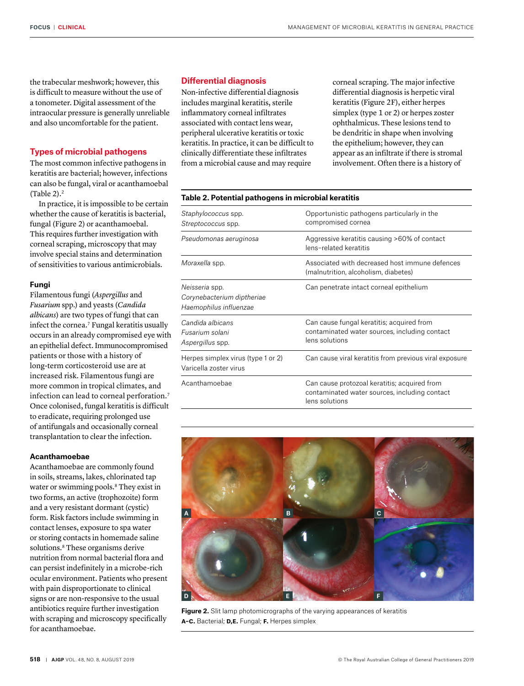the trabecular meshwork; however, this is difficult to measure without the use of a tonometer. Digital assessment of the intraocular pressure is generally unreliable and also uncomfortable for the patient.

#### **Types of microbial pathogens**

The most common infective pathogens in keratitis are bacterial; however, infections can also be fungal, viral or acanthamoebal (Table  $2$ ).<sup>2</sup>

In practice, it is impossible to be certain whether the cause of keratitis is bacterial, fungal (Figure 2) or acanthamoebal. This requires further investigation with corneal scraping, microscopy that may involve special stains and determination of sensitivities to various antimicrobials.

#### **Fungi**

Filamentous fungi (*Aspergillus* and *Fusarium* spp.) and yeasts (*Candida albicans*) are two types of fungi that can infect the cornea.<sup>7</sup> Fungal keratitis usually occurs in an already compromised eye with an epithelial defect. Immunocompromised patients or those with a history of long-term corticosteroid use are at increased risk. Filamentous fungi are more common in tropical climates, and infection can lead to corneal perforation.7 Once colonised, fungal keratitis is difficult to eradicate, requiring prolonged use of antifungals and occasionally corneal transplantation to clear the infection.

## **Acanthamoebae**

Acanthamoebae are commonly found in soils, streams, lakes, chlorinated tap water or swimming pools.<sup>8</sup> They exist in two forms, an active (trophozoite) form and a very resistant dormant (cystic) form. Risk factors include swimming in contact lenses, exposure to spa water or storing contacts in homemade saline solutions.<sup>8</sup> These organisms derive nutrition from normal bacterial flora and can persist indefinitely in a microbe-rich ocular environment. Patients who present with pain disproportionate to clinical signs or are non-responsive to the usual antibiotics require further investigation with scraping and microscopy specifically for acanthamoebae.

#### **Differential diagnosis**

Non-infective differential diagnosis includes marginal keratitis, sterile inflammatory corneal infiltrates associated with contact lens wear, peripheral ulcerative keratitis or toxic keratitis. In practice, it can be difficult to clinically differentiate these infiltrates from a microbial cause and may require

corneal scraping. The major infective differential diagnosis is herpetic viral keratitis (Figure 2F), either herpes simplex (type 1 or 2) or herpes zoster ophthalmicus. These lesions tend to be dendritic in shape when involving the epithelium; however, they can appear as an infiltrate if there is stromal involvement. Often there is a history of

| Table 2. Potential pathogens in microbial keratitis                    |                                                                                                                 |  |
|------------------------------------------------------------------------|-----------------------------------------------------------------------------------------------------------------|--|
| Staphylococcus spp.<br>Streptococcus spp.                              | Opportunistic pathogens particularly in the<br>compromised cornea                                               |  |
| Pseudomonas aeruginosa                                                 | Aggressive keratitis causing >60% of contact<br>lens-related keratitis                                          |  |
| Moraxella spp.                                                         | Associated with decreased host immune defences<br>(malnutrition, alcoholism, diabetes)                          |  |
| Neisseria spp.<br>Corynebacterium diptheriae<br>Haemophilus influenzae | Can penetrate intact corneal epithelium                                                                         |  |
| Candida albicans<br>Fusarium solani<br>Aspergillus spp.                | Can cause fungal keratitis; acquired from<br>contaminated water sources, including contact<br>lens solutions    |  |
| Herpes simplex virus (type 1 or 2)<br>Varicella zoster virus           | Can cause viral keratitis from previous viral exposure                                                          |  |
| Acanthamoebae                                                          | Can cause protozoal keratitis; acquired from<br>contaminated water sources, including contact<br>lens solutions |  |



**Figure 2.** Slit lamp photomicrographs of the varying appearances of keratitis **a–c.** Bacterial; **d,e.** Fungal; **f.** Herpes simplex